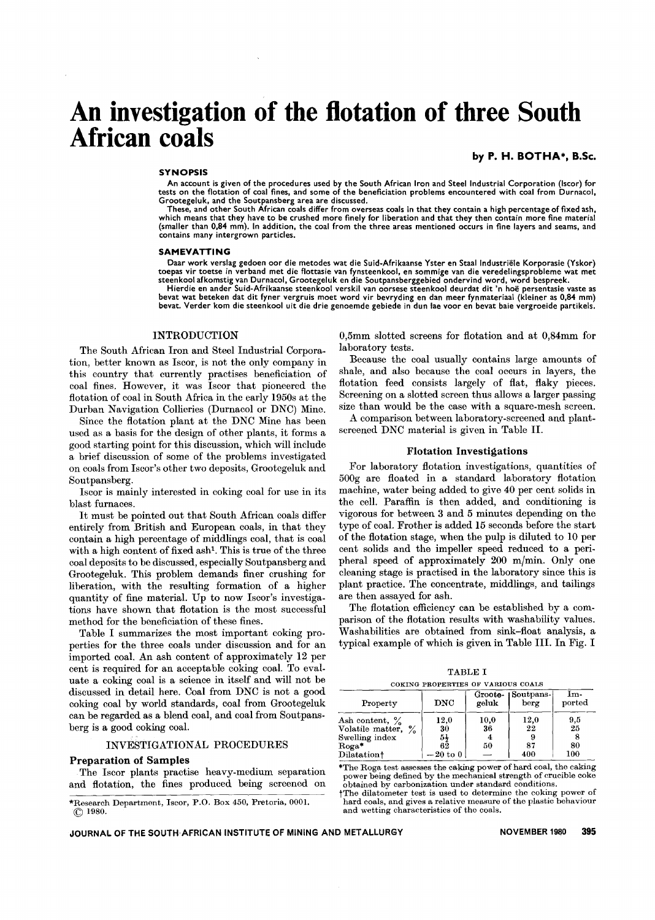# **An investigation of the flotation of three South African coals**

## by P. H. BOTHA\*. B.Sc.

#### **SYNOPSIS**

An account is given of the procedures used by the South African Iron and Steel Industrial Corporation (Iscor) for tests on the flotation of coal fines, and some of the beneficiation problems encountered with coal from Durnacol, Grootegeluk, and the Soutpansberg area are discussed.

These, and other South African coals differ from overseas coals in that they contain a high percentage of fixed ash<br>which means that they have to be crushed more finely for liberation and that they then contain more fine m (smaller than 0,84 mm). In addition, the coal from the three areas mentioned occurs in fine layers and seams, and contains many intergrown particles.

#### SAMEVATTING

Daar work verslag gedoen oor die metodes wat die Suid-Afrikaanse Yster en Staal Industriële Korporasie (Yskor) toe pas vir toetse In verband met die flottasie van fynsteenkool, en sommige van die veredelingsprobleme wat met steenkool afkomstig van Durnacol, Grootegeluk en die Soutpansberggebied ondervind word, word bespreek.<br>Hierdie en ander Suid-Afrikaanse steenkool verskil van oorsese steenkool deurdat dit 'n hoë persentasie vaste as<br>Koolon

bevat wat beteken dat dit fyner vergruis moet word vir bevryding en dan meer fynmateriaal (kleiner as 0,84 mm) bevat. Verder kom die steenkool uit die drie genoemde gebiede in dun lae voor en bevat baie vergroeide partikels.

### INTRODUCTION

The South African Iron and Steel Industrial Corporation, better known as Iscor, is not the only company in this country that currently practises beneficiation of coal fines. However, it was !scor that pioneered the flotation of coal in South Africa in the early 1950s at the Durban Navigation Collieries (Durnacol or DNC) Mine.

Since the flotation plant at the DNC Mine has been used as a basis for the design of other plants, it forms a good starting point for this discussion, which will include a brief discussion of some of the problems investigated on coals from Iscor's other two deposits, Grootegeluk and Soutpansberg.

!scor is mainly interested in coking coal for use in its blast furnaces.

It must be pointed out that South African coals differ entirely from British and European coals, in that they contain a high percentage of middlings coal, that is coal with a high content of fixed ash<sup>1</sup>. This is true of the three coal deposits to be discussed, especially Soutpansberg and Grootegeluk. This problem demands finer crushing for liberation, with the resulting formation of a higher quantity of fine material. Up to now Iscor's investigations have shown that flotation is the most successful method for the beneficiation of these fines.

Table I summarizes the most important coking properties for the three coals under discussion and for an imported coal. An ash content of approximately 12 per cent is required for an acceptable coking coal. To evaluate a coking coal is a science in itself and will not be discussed in detail here. Coal from DNC is not a good coking coal by world standards, coal from Grootegeluk can be regarded as a blend coal, and coal from Soutpansberg is a good coking coal.

#### INVESTIGATIONAL PROCEDURES

#### Preparation of Samples

The Iscor plants practise heavy-medium separation and flotation, the fines produced being screened on

\*Research Department, Iscor, P.O. Box 450, Pretoria, 0001. (C) 1980.

0,5mm slotted screens for flotation and at 0,84mm for laboratory tests.

Because the coal usually contains large amounts of shale, and also because the coal occurs in layers, the flotation feed consists largely of flat, flaky pieces. Screening on a slotted screen thus allows a larger passing size than would be the case with a square-mesh screen.

A comparison between laboratory-screened and plantscreened DNC material is given in Table Il.

## Flotation Investigations

For laboratory flotation investigations, quantities of 500g are floated in a standard laboratory flotation machine, water being added to give 40 per cent solids in the cell. Paraffin is then added, and conditioning is vigorous for between 3 and 5 minutes depending on the type of coal. Frother is added 15 seconds before the start of the flotation stage, when the pulp is diluted to 10 per cent solids and the impeller speed reduced to a peripheral speed of approximately 200 m/min. Only one cleaning stage is practised in the laboratory since this is plant practice. The concentrate, middlings, and tailings are then assayed for ash.

The flotation efficiency can be established by a comparison of the flotation results with washability values. Washabilities are obtained from sink-float analysis, a typical example of which is given in Table Ill. In Fig. I

|                                                                                     | <b>TABLE I</b><br>COKING PROPERTIES OF VARIOUS COALS                                  |                       |                                |                                                            |
|-------------------------------------------------------------------------------------|---------------------------------------------------------------------------------------|-----------------------|--------------------------------|------------------------------------------------------------|
| Property                                                                            | <b>DNC</b>                                                                            | Groote-1<br>geluk     | Soutpans-<br>berg              | Im-<br>ported                                              |
| Ash content, $\%$<br>Volatile matter, %<br>Swelling index<br>Roga* ¯<br>Dilatation† | 12,0<br>30<br>$\begin{array}{c} 5\frac{1}{2} \\ 62 \end{array}$<br>$-20\ {\rm to}\ 0$ | 10,0<br>36<br>4<br>50 | $\frac{12,0}{22}$<br>87<br>400 | $\begin{array}{c} 9,5 \\ 25 \end{array}$<br>8<br>80<br>100 |

\*The Roga test assesses the caking power of hard coal, the caking power being defined by the mechanical strength of crucible coke obtained by carbonization under standard conditions.

tThe dilatometer test is used to determine the coking power of hard coals, and gives a relative measure of the plastic behaviour and wetting characteristics of the coals.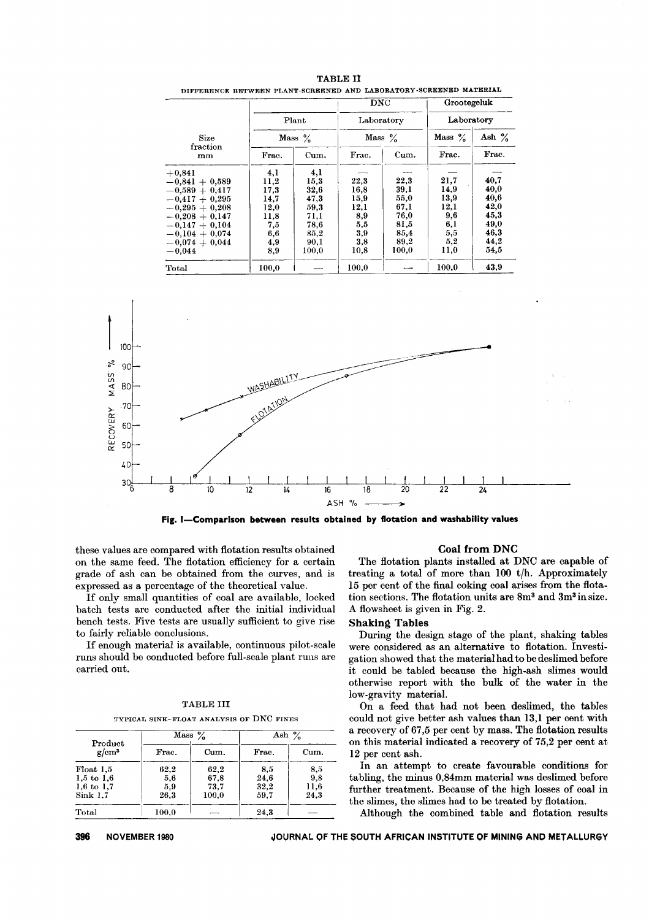|                  |       |           | <b>DNC</b> |            | Grootegeluk |          |  |
|------------------|-------|-----------|------------|------------|-------------|----------|--|
|                  | Plant |           |            | Laboratory | Laboratory  |          |  |
| Size             |       | Mass $\%$ |            | Mass $\%$  | Mass $\%$   | Ash $\%$ |  |
| fraction<br>mm   | Frac. | Cum.      | Frac.      | Cum.       | Frac.       | Frac.    |  |
| $+0,841$         | 4,1   | 4,1       |            |            |             |          |  |
| $-0.841 + 0.589$ | 11,2  | 15,3      | 22.3       | 22,3       | 21,7        | 40,7     |  |
| $-0.589 + 0.417$ | 17.3  | 32,6      | 16.8       | 39.1       | 14,9        | 40.0     |  |
| $-0.417 + 0.295$ | 14,7  | 47.3      | 15,9       | 55,0       | 13.9        | 40.6     |  |
| $-0.295 + 0.208$ | 12,0  | 59.3      | 12,1       | 67.1       | 12,1        | 42.0     |  |
| $-0.208 + 0.147$ | 11,8  | 71.I      | 8,9        | 76.0       | 9.6         | 45.3     |  |
| $-0.147 + 0.104$ | 7,5   | 78,6      | 5,5        | 81,5       | 6,1         | 49.0     |  |
| $-0.104 + 0.074$ | 6,6   | 85,2      | 3,9        | 85,4       | 5,5         | 46.3     |  |
| $-0.074 + 0.044$ | 4,9   | 90.1      | 3,8        | 89,2       | 5,2         | 44.2     |  |
| $-0,044$         | 8,9   | 100.0     | 10,8       | 100.0      | 11,0        | 54.5     |  |
| Total            | 100.0 |           | 100.0      |            | 100.0       | 43,9     |  |

DIFFERENCE BETWEEN PLANT-SCREENED AND LABORATORY-SCREENED MATERIAL TABLE II



Fig. I-Comparison between results obtained by flotation and washability values

these values are compared with flotation results obtained on the same feed. The flotation efficiency for a certain grade of ash can be obtained from the curves, and is expressed as a percentage of the theoretical value.

If only small quantities of coal are available, locked batch tests are conducted after the initial individual bench tests. Five tests are usually sufficient to give rise to fairly reliable concJusions.

If enough material is available, continuous pilot-scale runs should be conducted before full-scale plant runs are carried out.

## TABLE III

TYPICAL SINK-FLOAT ANALYSIS OF DNC FINES

| Product               | Mass $\%$ |       | Ash $\%$ |      |
|-----------------------|-----------|-------|----------|------|
| $g/cm^3$              | Frac.     | Cum.  | Frac.    | Cum. |
| Float 1,5             | 62,2      | 62.2  | 8,5      | 8,5  |
| $1,5 \text{ to } 1.6$ | 5,6       | 67.8  | 24.6     | 9,8  |
| $1,6$ to 1.7          | 5,9       | 73.7  | 32,2     | 11,6 |
| Sink 1.7              | 26,3      | 100.0 | 59.7     | 24.3 |
| Total                 | 100.0     |       | 24.3     |      |

## Coal from ONC

The flotation plants installed at DNC are capable of treating a total of more than 100 t/h. Approximately 15 per cent of the final coking coal arises from the flotation sections. The flotation units are 8m3 and 3m3 in size. A flowsheet is given in Fig. 2.

#### **Shaking Tables**

During the design stage of the plant, shaking tables were considered as an alternative to flotation. Investigation showed that the material had to be deslimed before it could be tabled because the high-ash slimes would otherwise report with the bulk of the water in the low-gravity material.

On a feed that had not been deslimed, the tables could not give better ash values than 13,1 per cent with a recovery of 67,5 per cent by mass. The flotation results on this material indicated a recovery of 75,2 per cent at 12 per cent ash.

In an attempt to create favourable conditions for tabling, the minus 0,84mm material was deslimed before further treatment. Because of the high losses of coal in the slimes, the slimes had to be treated by flotation.

Although the combined table and flotation results

NOVEMBER 1980 METALLURGY MOURNAL OF THE SOUTH AFRICAN INSTITUTE OF MINING AND METALLURGY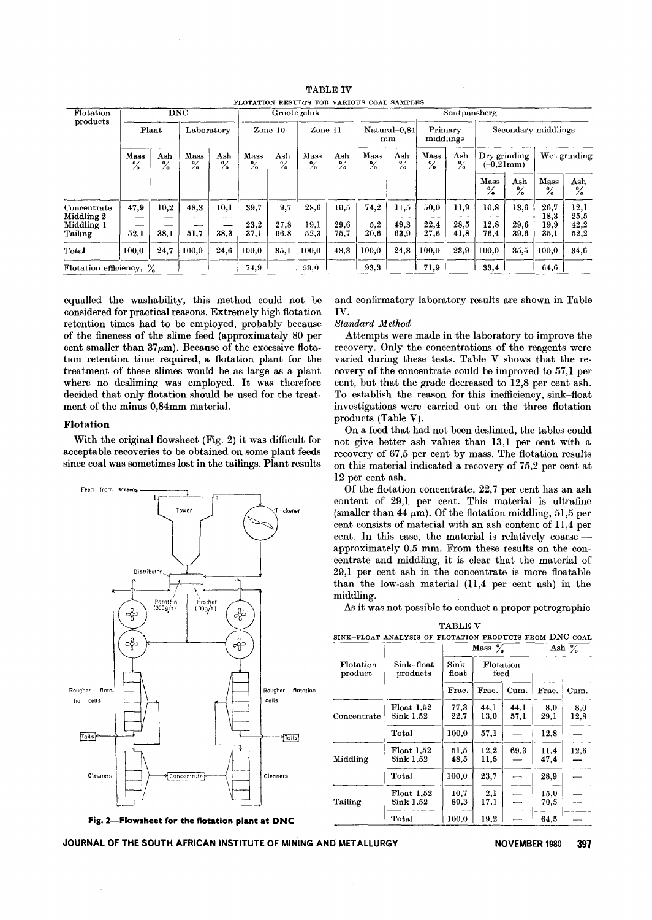| Flotation                                          |                       |                      | $\overline{\text{DNC}}$       |              |                       |                         | Grootezeluk           |                      | Soutpansberg                                       |                            |                       |                      |                      |                      |                              |                              |
|----------------------------------------------------|-----------------------|----------------------|-------------------------------|--------------|-----------------------|-------------------------|-----------------------|----------------------|----------------------------------------------------|----------------------------|-----------------------|----------------------|----------------------|----------------------|------------------------------|------------------------------|
| products<br>Plant                                  | Laboratory            |                      | Zone $10$<br>$\text{Zone}$ 11 |              |                       | Natural-0.84<br>mm      |                       | Primary<br>middlings |                                                    | Secondary middlings        |                       |                      |                      |                      |                              |                              |
|                                                    | Mass<br>$\frac{6}{6}$ | Ash<br>$\frac{0}{2}$ | Mass<br>$\frac{6}{6}$<br>$\%$ | Ash          | Mass<br>$\frac{9}{6}$ | Ash<br>0/<br>$\sqrt{2}$ | Mass<br>$\frac{9}{6}$ | Ash<br>$\frac{6}{6}$ | Mass<br>Ash<br>$\mathbf{o}$<br>$\frac{9}{6}$<br>/o |                            | Mass<br>$\frac{6}{6}$ | Ash<br>$\frac{9}{6}$ | Dry grinding         | $(-0,21$ mm $)$      |                              | Wet grinding                 |
|                                                    |                       |                      |                               |              |                       |                         |                       |                      |                                                    |                            |                       |                      | Mass<br>$\%$         | Ash<br>$\frac{6}{6}$ | Mass<br>$\frac{6}{6}$        | Ash<br>$\%$                  |
| Concentrate<br>Middling 2<br>Middling 1<br>Tailing | 47,9<br>52,1          | 10,2<br>38.1         | 48.3<br>51.7                  | 10,1<br>38.3 | 39.7<br>23,2<br>37.1  | 9,7<br>27.8<br>66.8     | 28.6<br>19.1<br>52.3  | 10.5<br>29.6<br>75,7 | 74,2<br>5,2<br>20.6                                | 11,5<br>--<br>49,3<br>63,9 | 50,0<br>22,4<br>27,6  | 11,9<br>28,5<br>41,8 | 10.8<br>12,8<br>76.4 | 13.6<br>29,6<br>39.6 | 26,7<br>18,3<br>19,9<br>35,1 | 12,1<br>25,5<br>42,2<br>52,2 |
| Total                                              | 100.0                 | 24,7                 | 100.0                         | 24,6         | 100.0                 | 35.1                    | 100.0                 | 48,3                 | 100.0                                              | 24,3                       | 100.0                 | 23.9                 | 100.0                | 35.5                 | 100.0                        | 34,6                         |
| Flotation efficiency, %                            |                       |                      |                               |              | 74,9                  |                         | 59,0                  |                      | 93.3                                               |                            | 71.9                  |                      | 33,4                 |                      | 64.6                         |                              |

TABLE lV FLOTATION RESULTS FOR VARIOUS COAL SAMPLES

equalled the washability, this method could not be considered for practical reasons. Extremely high flotation retention times had to be employed, probably because of the fineness of the slime feed (approximately 80 per cent smaller than  $37\mu$ m). Because of the excessive flotation retention time required, a flotation plant for the treatment of these slimes would be as large as a plant where no desliming was employed. It was therefore decided that only flotation should be used for the treatment of the minus 0,84mm material.

## **Flotation**

With the original flowsheet (Fig. 2) it was difficult for acceptable recoveries to be obtained on some plant feeds since coal was sometimes lost in the tailings. Plant results



**Fig. 2-Flowsheet for the flotation plant at DNC**

and confirmatory laboratory results are shown in Table IV.

## *Standard Method*

Attempts were made in the laboratory to improve the recovery. Only the concentrations of the reagents were varied during these tests. Table V shows that the recovery of the concentrate could be improved to 57,1 per cent, but that the grade decreased to 12,8 per cent ash. To establish the reason for this inefficiency, sink-float investigations were carried out on the three flotation products (Table V).

On a feed that had not been deslimed, the tables could not give better ash values than 13,1 per cent with a recovery of 67,5 per cent by mass. The flotation results on this material indicated a recovery of 75,2 per cent at 12 per cent ash.

Of the flotation concentrate, 22,7 per cent has an ash content of 29,1 per cent. This material is ultrafine (smaller than 44  $\mu$ m). Of the flotation middling, 51,5 per cent consists of material with an ash content of 11,4 per cent. In this case, the material is relatively coarse  $$ approximately 0,5 mm. From these results on the concentrate and middling, it is clear that the material of 29,1 per cent ash in the concentrate is more floatable than the low-ash material (11,4 per cent ash) in the middling. ,

As it was not possible to conduct a proper petrographic

TABLE V

|                      |                                            |                            | Mass $\%$         |              | Ash $\%$     |             |
|----------------------|--------------------------------------------|----------------------------|-------------------|--------------|--------------|-------------|
| Flotation<br>product | Sink–float<br>products                     | Sink–<br>$_{\text{float}}$ | Flotation<br>feed |              |              |             |
|                      |                                            | Frac.                      | Frac.             | Cum.         | Frac.        | Cum.        |
| Concentrate          | $\rm{Float}$ $1.52$<br>${\rm Sink}~1.52$   | 77.3<br>22,7               | 44.1<br>13.0      | 44.1<br>57.1 | 8,0<br>29.1  | 8,0<br>12,8 |
|                      | Total                                      | 100,0                      | 57,1              |              | 12.8         |             |
| Middling             | $\rm{Float}$ $1,52$<br>${\rm Sink} \ 1.52$ | 51,5<br>48,5               | 12,2<br>11,5      | 69,3         | 11,4<br>47.4 | 12,6        |
|                      | Total                                      | 100.0                      | 23.7              |              | 28,9         |             |
| Tailing              | Float 1,52<br>Sink 1,52                    | 10.7<br>89.3               | 2,1<br>17,1       |              | 15,0<br>70,5 |             |
|                      | Total                                      | 100,0                      | 19,2              |              | 64.5         |             |

**JOURNAL OF THE SOUTH AFRICAN INSTITUTE OF MINING AND METALLURGY NOVEMBER** <sup>1980</sup> **397**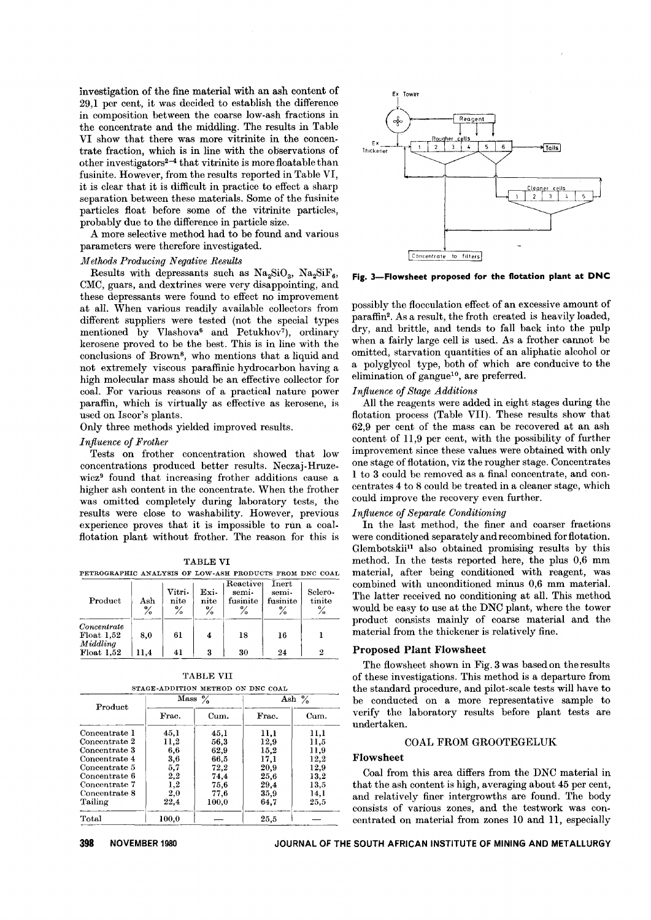investigation of the fine material with an ash content of 29,1 per cent, it was decided to establish the difference in composition between the coarse low-ash fractions in the concentrate and the middling. The results in Table VI show that there was more vitrinite in the concentrate fraction, which is in line with the observations of other investigators2-4 that vitrinite is more floata ble than fusinite. However, from the results reported in Table VI, it is clear that it is difficult in practice to effect a sharp separation between these materials. Some of the fusinite particles float before some of the vitrinite particles, probably due to the difference in particle size.

A more selective method had to be found and various parameters were therefore investigated.

## *Methods Producing Negative Results*

Results with depressants such as  $\text{Na}_2\text{SiO}_3$ ,  $\text{Na}_2\text{SiF}_6$ , CMC, guars, and dextrines were very disappointing, and these depressants were found to effect no improvement at all. When various readily available collectors from different suppliers were tested (not the special types mentioned by Vlashova<sup>6</sup> and Petukhov<sup>7</sup>), ordinary kerosene proved to be the best. This is in line with the conclusions of Brown8, who mentions that a liquid and not extremely viscous paraffinic hydrocarbon having a high molecular mass should be an effective collector for coal. For various reasons of a practical nature power paraffin, which is virtually as effective as kerosene, is used on Iscor's plants.

Only three methods yielded improved results.

## *Influence of Frother*

Tests on frother concentration showed that low concentrations produced better results. Neczaj-Hruzewicz<sup>9</sup> found that increasing frother additions cause a higher ash content in the concentrate. When the frother was omitted completely during laboratory tests, the results were close to washability. However, previous experience proves that it is impossible to run a coalflotation plant without frother. The reason for this is

TABLE VI PETROGRAPHIC ANALYSIS OF LOW-ASH PRODUCTS FROM DNC COAL

| Product                                                     | Ash<br>$\%$ | Vitri-<br>nite<br>$\%$ | Exi-<br>nite<br>℅ | Reactiver<br>semi-<br>fusinite<br>$\%$ | Inert<br>semi-<br>fusinite<br>о, | Selero-<br>tinite<br>$\%$ |
|-------------------------------------------------------------|-------------|------------------------|-------------------|----------------------------------------|----------------------------------|---------------------------|
| Concentrate<br>$F$ loat $1.52$<br>Middlina<br>$F$ loat 1.52 | 8.0<br>11.4 | 61<br>41               | 3                 | 18<br>30                               | 16<br>24                         | 2                         |

|               |       | STAGE-ADDITION METHOD ON DNC COAL |          |      |  |  |
|---------------|-------|-----------------------------------|----------|------|--|--|
| Product       | Mass  | $\frac{0}{2}$                     | Ash $\%$ |      |  |  |
|               | Frac. | Cum.                              | Frac.    | Cum. |  |  |
| Concentrate 1 | 45.1  | 45,1                              | 11,1     | 11,1 |  |  |
| Concentrate 2 | 11.2  | 56,3                              | 12,9     | 11,5 |  |  |
| Concentrate 3 | 6.6   | 62,9                              | 15,2     | 11,9 |  |  |
| Concentrate 4 | 3,6   | 66,5                              | 17,1     | 12,2 |  |  |
| Concentrate 5 | 5,7   | 72,2                              | 20.9     | 12,9 |  |  |
| Concentrate 6 | 2,2   | 74.4                              | 25.6     | 13,2 |  |  |
| Concentrate 7 | 1,2   | 75,6                              | 29,4     | 13,5 |  |  |
| Concentrate 8 | 2,0   | 77,6                              | 35,9     | 14,1 |  |  |
| Tailing       | 22,4  | 100.0                             | 64.7     | 25.5 |  |  |
| Total         | 100.0 |                                   | 25.5     |      |  |  |

TABLE VII



Ex Tower Reagent ♣ Rougher cells Ex  $\mathbf{r}$  $\overline{\mathbf{2}}$  $\overline{\phantom{a}}$ 6  $\sqrt{\text{Tails}}$  $\overline{3}$ Thickener <u>Cleaner ceils</u>  $\overline{\cdot}$  $\overline{2}$ Concentrate to filters

**Fig. 3-Flowsheet proposed for the flotation plant at DNC**

possibly the flocculation effect of an excessive amount of paraffin2. As a result, the froth created is heavily loaded, dry, and brittle, and tends to fall back into the pulp when a fairly large cell is used. As a frother cannot be omitted, starvation quantities of an aliphatic alcohol or a polyglycol type, both of which are conducive to the elimination of gangue<sup>10</sup>, are preferred.

## *Influence of Stage Additions*

All the reagents were added in eight stages during the flotation process (Table VII). These results show that 62,9 per cent of the mass can be recovered at an ash content of 11,9 per cent, with the possibility of further improvement since these values were obtained with only one stage of flotation, viz the rougher stage. Concentrates 1 to 3 could be removed as a final concentrate, and concentrates 4 to 8 could be treated in a cleaner stage, which could improve the recovery even further.

#### *Influence of Separate Conditioning*

In the last method, the finer and coarser fractions were conditioned separately and recombined for flotation, Glembotskiill also obtained promising results by this method. In the tests reported here, the plus 0,6 mm material, after being conditioned with reagent, was combined with unconditioned minus 0,6 mm material. The latter received no conditioning at all. This method would be easy to use at the DNC plant, where the tower product consists mainly of coarse material and the material from the thickener is relatively fine.

## **Proposed Plant Flowsheet**

The flowsheet shown in Fig. 3 was based on theresults of these investigations. This method is a departure from the standard procedure, and pilot-scale tests will have to be conducted on a more representative sample to verify the laboratory results before plant tests are undertaken.

## COAL FROM GROOTEGELUK

## **Flowsheet**

Coal from this area differs from the DNC material in that the ash content is high, averaging about 45 per cent, and relatively finer intergrowths are found. The body consists of various zones, and the testwork was concentrated on material from zones 10 and 11, especially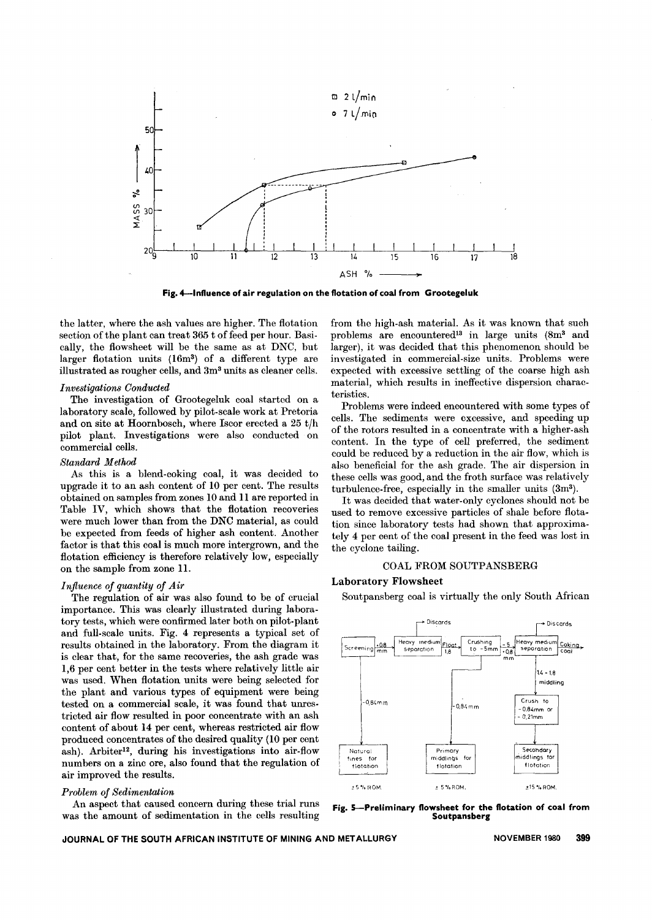

**Fig, 4--lnfluence of air regulation on the flotation of coal from Grootegeluk**

the latter, where the ash values are higher. The flotation section of the plant can treat 365 t of feed per hour. Basically, the flowsheet will be the same as at DNC, but larger flotation units (16m3) of a different type are illustrated as rougher cells, and 3m3 units as cleaner cells.

## *Investigations Conducted*

The investigation of Grootegeluk coal started on a laboratory scale, followed by pilot-scale work at Pretoria and on site at Hoornbosch, where Iscor erected a  $25 t/h$ pilot plant. Investigations were also conducted on commercial cells.

## *Standard Method*

As this is a blend-coking coal, it was decided to upgrade it to an ash content of 10 per cent. The results obtained on samples from zones 10 and 11 are reported in Table IV, which shows that the flotation recoveries were much lower than from the DNC material, as could be expected from feeds of higher ash content. Another factor is that this coal is much more intergrown, and the flotation efficiency is therefore relatively low, especially on the sample from zone 11.

#### *Influence of quantity of Air*

The regulation of air was also found to be of crucial importance. This was clearly illustrated during laboratory tests, which were confirmed later both on pilot-plant and full-scale units. Fig. 4 represents a typical set of results obtained in the laboratory. From the diagram it is clear that, for the same recoveries, the ash grade was 1,6 per cent better in the tests where relatively little air was used. When flotation units were being selected for the plant and various types of equipment were being tested on a commercial scale, it was found that unrestricted air flow resulted in poor concentrate with an ash content of about 14 per cent, whereas restricted air flow produced concentrates of the desired quality (10 per cent ash). Arbiter<sup>12</sup>, during his investigations into air-flow numbers on a zinc ore, also found that the regulation of air improved the results.

#### *Problem of Sedimentation*

An aspect that caused concern during these trial runs was the amount of sedimentation in the cells resulting from the high-ash material. As it was known that such problems are encountered<sup>13</sup> in large units (8m<sup>3</sup> and larger), it was decided that this phenomenon should be investigated in commercial-size units. Problems were expected with excessive settling of the coarse high ash material, which results in ineffective dispersion characteristics.

Problems were indeed encountered with some types of cells. The sediments were excessive, and speeding up of the rotors resulted in a concentrate with a higher-ash content. In the type of cell preferred, the sediment could be reduced by a reduction in the air flow, which is also beneficial for the ash grade. The air dispersion in these cells was good, and the froth surface was relatively turbulence-free, especially in the smaller units (3m3).

It was decided that water-only cyclones should not be used to remove excessive particles of shale before flotation since laboratory tests had shown that approximately 4 per cent of the coal present in the feed was lost in the cyclone tailing.

## COAL FROM SOUTPANSBERG

## Laboratory Flowsheet

Soutpansberg coal is virtually the only South African



**Fig, 5-Preliminary flowsheet for the flotation of coal from Soutpansberg**